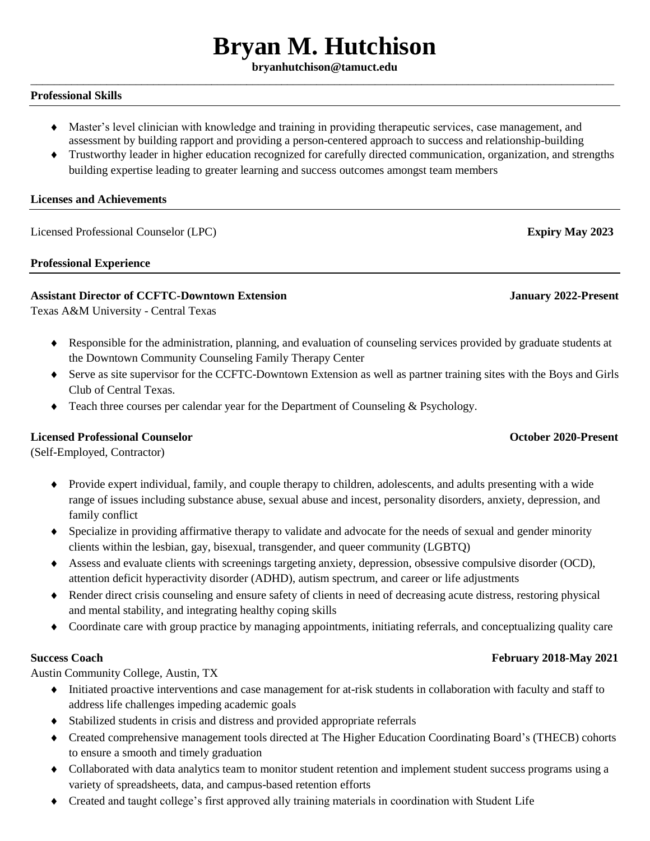# **Bryan M. Hutchison**

### **bryanhutchison@tamuct.edu** \_\_\_\_\_\_\_\_\_\_\_\_\_\_\_\_\_\_\_\_\_\_\_\_\_\_\_\_\_\_\_\_\_\_\_\_\_\_\_\_\_\_\_\_\_\_\_\_\_\_\_\_\_\_\_\_\_\_\_\_\_\_\_\_\_\_\_\_\_\_\_\_\_\_\_\_\_\_\_\_\_\_\_\_\_\_\_\_\_\_\_\_\_\_\_\_\_\_\_\_

### **Professional Skills**

- Master's level clinician with knowledge and training in providing therapeutic services, case management, and assessment by building rapport and providing a person-centered approach to success and relationship-building
- Trustworthy leader in higher education recognized for carefully directed communication, organization, and strengths building expertise leading to greater learning and success outcomes amongst team members

### **Licenses and Achievements**

Licensed Professional Counselor (LPC) **Expiry May 2023**

### **Professional Experience**

# **Assistant Director of CCFTC-Downtown Extension January 2022-Present**

Texas A&M University - Central Texas

- Responsible for the administration, planning, and evaluation of counseling services provided by graduate students at the Downtown Community Counseling Family Therapy Center
- Serve as site supervisor for the CCFTC-Downtown Extension as well as partner training sites with the Boys and Girls Club of Central Texas.
- Teach three courses per calendar year for the Department of Counseling & Psychology.

### **Licensed Professional Counselor October 2020-Present**

(Self-Employed, Contractor)

- Provide expert individual, family, and couple therapy to children, adolescents, and adults presenting with a wide range of issues including substance abuse, sexual abuse and incest, personality disorders, anxiety, depression, and family conflict
- Specialize in providing affirmative therapy to validate and advocate for the needs of sexual and gender minority clients within the lesbian, gay, bisexual, transgender, and queer community (LGBTQ)
- Assess and evaluate clients with screenings targeting anxiety, depression, obsessive compulsive disorder (OCD), attention deficit hyperactivity disorder (ADHD), autism spectrum, and career or life adjustments
- Render direct crisis counseling and ensure safety of clients in need of decreasing acute distress, restoring physical and mental stability, and integrating healthy coping skills
- Coordinate care with group practice by managing appointments, initiating referrals, and conceptualizing quality care

### **Success Coach February 2018-May 2021**

Austin Community College, Austin, TX

- Initiated proactive interventions and case management for at-risk students in collaboration with faculty and staff to address life challenges impeding academic goals
- Stabilized students in crisis and distress and provided appropriate referrals
- Created comprehensive management tools directed at The Higher Education Coordinating Board's (THECB) cohorts to ensure a smooth and timely graduation
- Collaborated with data analytics team to monitor student retention and implement student success programs using a variety of spreadsheets, data, and campus-based retention efforts
- Created and taught college's first approved ally training materials in coordination with Student Life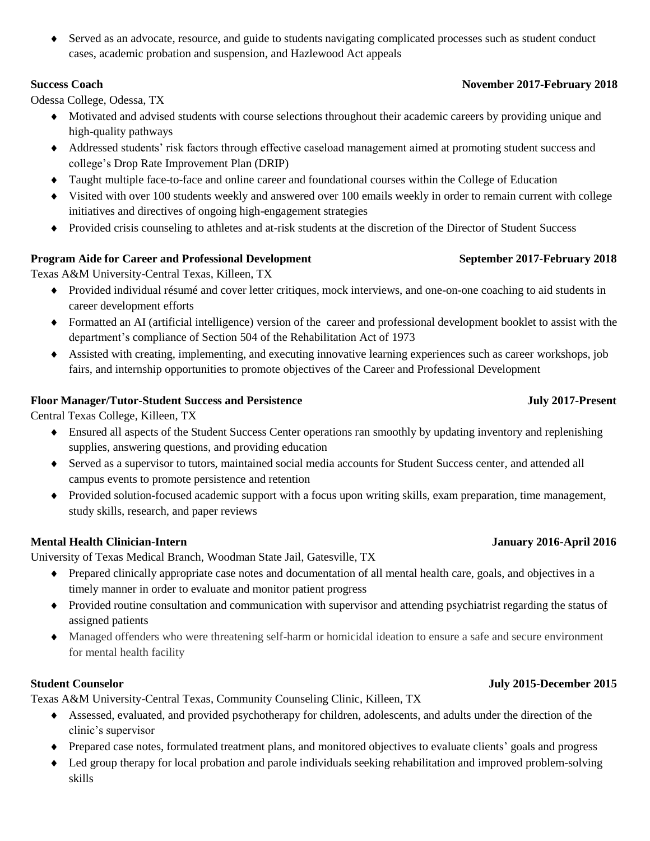Served as an advocate, resource, and guide to students navigating complicated processes such as student conduct cases, academic probation and suspension, and Hazlewood Act appeals

Odessa College, Odessa, TX

- Motivated and advised students with course selections throughout their academic careers by providing unique and high-quality pathways
- Addressed students' risk factors through effective caseload management aimed at promoting student success and college's Drop Rate Improvement Plan (DRIP)
- Taught multiple face-to-face and online career and foundational courses within the College of Education
- Visited with over 100 students weekly and answered over 100 emails weekly in order to remain current with college initiatives and directives of ongoing high-engagement strategies
- Provided crisis counseling to athletes and at-risk students at the discretion of the Director of Student Success

# **Program Aide for Career and Professional Development September 2017-February 2018**

Texas A&M University-Central Texas, Killeen, TX

- Provided individual résumé and cover letter critiques, mock interviews, and one-on-one coaching to aid students in career development efforts
- Formatted an AI (artificial intelligence) version of the career and professional development booklet to assist with the department's compliance of Section 504 of the Rehabilitation Act of 1973
- Assisted with creating, implementing, and executing innovative learning experiences such as career workshops, job fairs, and internship opportunities to promote objectives of the Career and Professional Development

# **Floor Manager/Tutor-Student Success and Persistence July 2017-Present**

Central Texas College, Killeen, TX

- Ensured all aspects of the Student Success Center operations ran smoothly by updating inventory and replenishing supplies, answering questions, and providing education
- Served as a supervisor to tutors, maintained social media accounts for Student Success center, and attended all campus events to promote persistence and retention
- Provided solution-focused academic support with a focus upon writing skills, exam preparation, time management, study skills, research, and paper reviews

# **Mental Health Clinician-Intern January 2016-April 2016**

University of Texas Medical Branch, Woodman State Jail, Gatesville, TX

- Prepared clinically appropriate case notes and documentation of all mental health care, goals, and objectives in a timely manner in order to evaluate and monitor patient progress
- Provided routine consultation and communication with supervisor and attending psychiatrist regarding the status of assigned patients
- Managed offenders who were threatening self-harm or homicidal ideation to ensure a safe and secure environment for mental health facility

Texas A&M University-Central Texas, Community Counseling Clinic, Killeen, TX

- Assessed, evaluated, and provided psychotherapy for children, adolescents, and adults under the direction of the clinic's supervisor
- Prepared case notes, formulated treatment plans, and monitored objectives to evaluate clients' goals and progress
- Led group therapy for local probation and parole individuals seeking rehabilitation and improved problem-solving skills

# **Success Coach November 2017-February 2018**

# **Student Counselor July 2015-December 2015**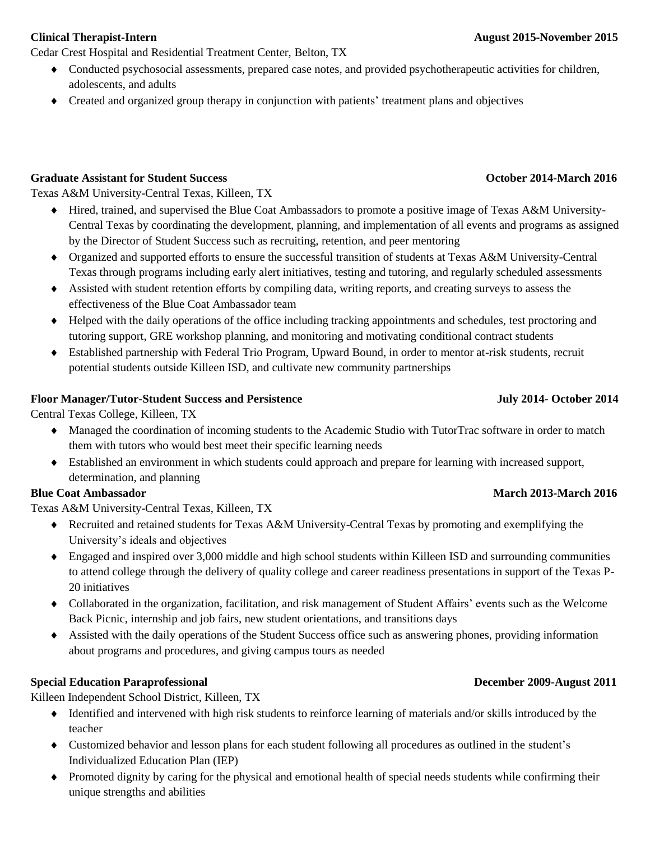Cedar Crest Hospital and Residential Treatment Center, Belton, TX

- Conducted psychosocial assessments, prepared case notes, and provided psychotherapeutic activities for children, adolescents, and adults
- Created and organized group therapy in conjunction with patients' treatment plans and objectives

# **Graduate Assistant for Student Success October 2014-March 2016**

Texas A&M University-Central Texas, Killeen, TX

- Hired, trained, and supervised the Blue Coat Ambassadors to promote a positive image of Texas A&M University-Central Texas by coordinating the development, planning, and implementation of all events and programs as assigned by the Director of Student Success such as recruiting, retention, and peer mentoring
- Organized and supported efforts to ensure the successful transition of students at Texas A&M University-Central Texas through programs including early alert initiatives, testing and tutoring, and regularly scheduled assessments
- Assisted with student retention efforts by compiling data, writing reports, and creating surveys to assess the effectiveness of the Blue Coat Ambassador team
- Helped with the daily operations of the office including tracking appointments and schedules, test proctoring and tutoring support, GRE workshop planning, and monitoring and motivating conditional contract students
- Established partnership with Federal Trio Program, Upward Bound, in order to mentor at-risk students, recruit potential students outside Killeen ISD, and cultivate new community partnerships

# **Floor Manager/Tutor-Student Success and Persistence July 2014- October 2014**

Central Texas College, Killeen, TX

- Managed the coordination of incoming students to the Academic Studio with TutorTrac software in order to match them with tutors who would best meet their specific learning needs
- Established an environment in which students could approach and prepare for learning with increased support, determination, and planning

# **Blue Coat Ambassador March 2013-March 2016**

Texas A&M University-Central Texas, Killeen, TX

- Recruited and retained students for Texas A&M University-Central Texas by promoting and exemplifying the University's ideals and objectives
- Engaged and inspired over 3,000 middle and high school students within Killeen ISD and surrounding communities to attend college through the delivery of quality college and career readiness presentations in support of the Texas P-20 initiatives
- Collaborated in the organization, facilitation, and risk management of Student Affairs' events such as the Welcome Back Picnic, internship and job fairs, new student orientations, and transitions days
- Assisted with the daily operations of the Student Success office such as answering phones, providing information about programs and procedures, and giving campus tours as needed

# **Special Education Paraprofessional December 2009-August 2011**

Killeen Independent School District, Killeen, TX

- Identified and intervened with high risk students to reinforce learning of materials and/or skills introduced by the teacher
- Customized behavior and lesson plans for each student following all procedures as outlined in the student's Individualized Education Plan (IEP)
- Promoted dignity by caring for the physical and emotional health of special needs students while confirming their unique strengths and abilities